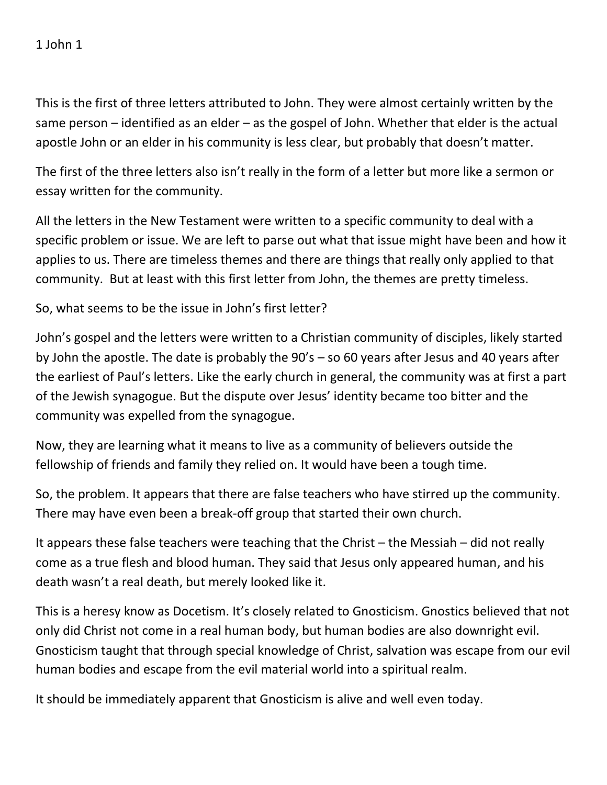This is the first of three letters attributed to John. They were almost certainly written by the same person – identified as an elder – as the gospel of John. Whether that elder is the actual apostle John or an elder in his community is less clear, but probably that doesn't matter.

The first of the three letters also isn't really in the form of a letter but more like a sermon or essay written for the community.

All the letters in the New Testament were written to a specific community to deal with a specific problem or issue. We are left to parse out what that issue might have been and how it applies to us. There are timeless themes and there are things that really only applied to that community. But at least with this first letter from John, the themes are pretty timeless.

So, what seems to be the issue in John's first letter?

John's gospel and the letters were written to a Christian community of disciples, likely started by John the apostle. The date is probably the 90's – so 60 years after Jesus and 40 years after the earliest of Paul's letters. Like the early church in general, the community was at first a part of the Jewish synagogue. But the dispute over Jesus' identity became too bitter and the community was expelled from the synagogue.

Now, they are learning what it means to live as a community of believers outside the fellowship of friends and family they relied on. It would have been a tough time.

So, the problem. It appears that there are false teachers who have stirred up the community. There may have even been a break-off group that started their own church.

It appears these false teachers were teaching that the Christ – the Messiah – did not really come as a true flesh and blood human. They said that Jesus only appeared human, and his death wasn't a real death, but merely looked like it.

This is a heresy know as Docetism. It's closely related to Gnosticism. Gnostics believed that not only did Christ not come in a real human body, but human bodies are also downright evil. Gnosticism taught that through special knowledge of Christ, salvation was escape from our evil human bodies and escape from the evil material world into a spiritual realm.

It should be immediately apparent that Gnosticism is alive and well even today.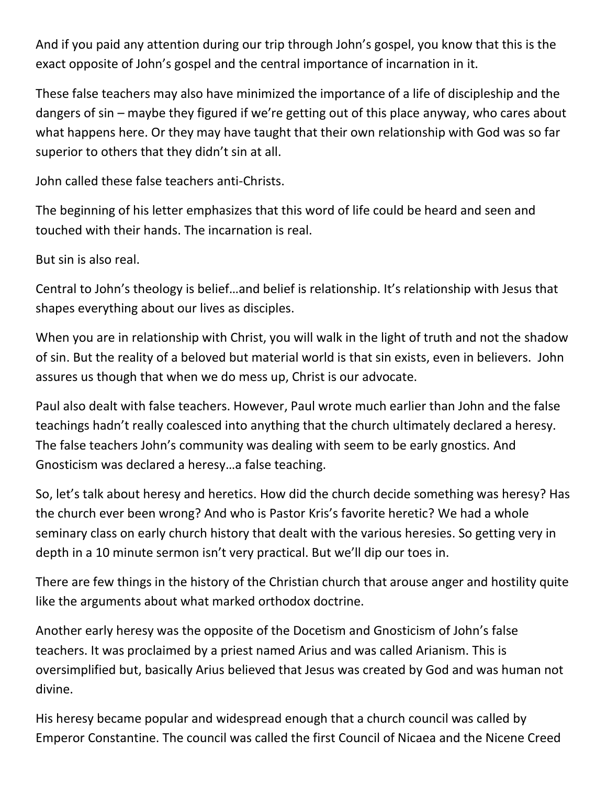And if you paid any attention during our trip through John's gospel, you know that this is the exact opposite of John's gospel and the central importance of incarnation in it.

These false teachers may also have minimized the importance of a life of discipleship and the dangers of sin – maybe they figured if we're getting out of this place anyway, who cares about what happens here. Or they may have taught that their own relationship with God was so far superior to others that they didn't sin at all.

John called these false teachers anti-Christs.

The beginning of his letter emphasizes that this word of life could be heard and seen and touched with their hands. The incarnation is real.

But sin is also real.

Central to John's theology is belief…and belief is relationship. It's relationship with Jesus that shapes everything about our lives as disciples.

When you are in relationship with Christ, you will walk in the light of truth and not the shadow of sin. But the reality of a beloved but material world is that sin exists, even in believers. John assures us though that when we do mess up, Christ is our advocate.

Paul also dealt with false teachers. However, Paul wrote much earlier than John and the false teachings hadn't really coalesced into anything that the church ultimately declared a heresy. The false teachers John's community was dealing with seem to be early gnostics. And Gnosticism was declared a heresy…a false teaching.

So, let's talk about heresy and heretics. How did the church decide something was heresy? Has the church ever been wrong? And who is Pastor Kris's favorite heretic? We had a whole seminary class on early church history that dealt with the various heresies. So getting very in depth in a 10 minute sermon isn't very practical. But we'll dip our toes in.

There are few things in the history of the Christian church that arouse anger and hostility quite like the arguments about what marked orthodox doctrine.

Another early heresy was the opposite of the Docetism and Gnosticism of John's false teachers. It was proclaimed by a priest named Arius and was called Arianism. This is oversimplified but, basically Arius believed that Jesus was created by God and was human not divine.

His heresy became popular and widespread enough that a church council was called by Emperor Constantine. The council was called the first Council of Nicaea and the Nicene Creed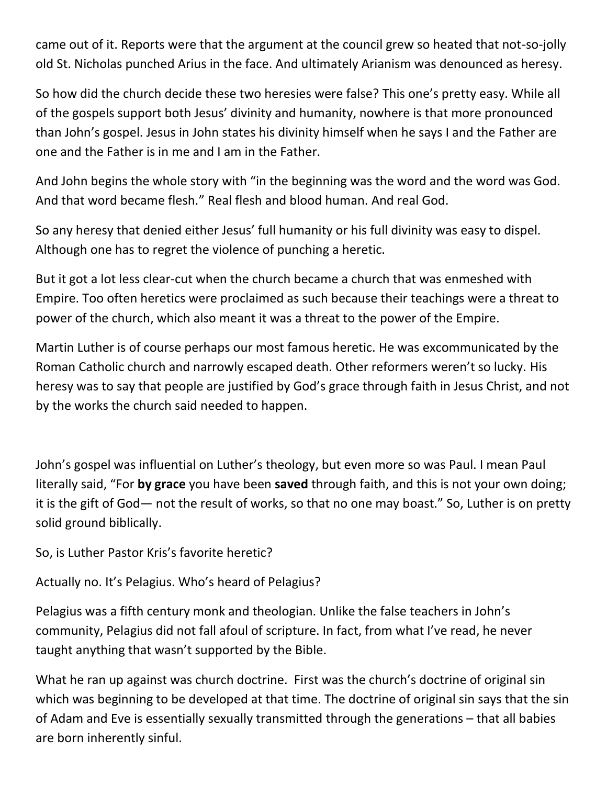came out of it. Reports were that the argument at the council grew so heated that not-so-jolly old St. Nicholas punched Arius in the face. And ultimately Arianism was denounced as heresy.

So how did the church decide these two heresies were false? This one's pretty easy. While all of the gospels support both Jesus' divinity and humanity, nowhere is that more pronounced than John's gospel. Jesus in John states his divinity himself when he says I and the Father are one and the Father is in me and I am in the Father.

And John begins the whole story with "in the beginning was the word and the word was God. And that word became flesh." Real flesh and blood human. And real God.

So any heresy that denied either Jesus' full humanity or his full divinity was easy to dispel. Although one has to regret the violence of punching a heretic.

But it got a lot less clear-cut when the church became a church that was enmeshed with Empire. Too often heretics were proclaimed as such because their teachings were a threat to power of the church, which also meant it was a threat to the power of the Empire.

Martin Luther is of course perhaps our most famous heretic. He was excommunicated by the Roman Catholic church and narrowly escaped death. Other reformers weren't so lucky. His heresy was to say that people are justified by God's grace through faith in Jesus Christ, and not by the works the church said needed to happen.

John's gospel was influential on Luther's theology, but even more so was Paul. I mean Paul literally said, "For **by grace** you have been **saved** through faith, and this is not your own doing; it is the gift of God— not the result of works, so that no one may boast." So, Luther is on pretty solid ground biblically.

So, is Luther Pastor Kris's favorite heretic?

Actually no. It's Pelagius. Who's heard of Pelagius?

Pelagius was a fifth century monk and theologian. Unlike the false teachers in John's community, Pelagius did not fall afoul of scripture. In fact, from what I've read, he never taught anything that wasn't supported by the Bible.

What he ran up against was church doctrine. First was the church's doctrine of original sin which was beginning to be developed at that time. The doctrine of original sin says that the sin of Adam and Eve is essentially sexually transmitted through the generations – that all babies are born inherently sinful.